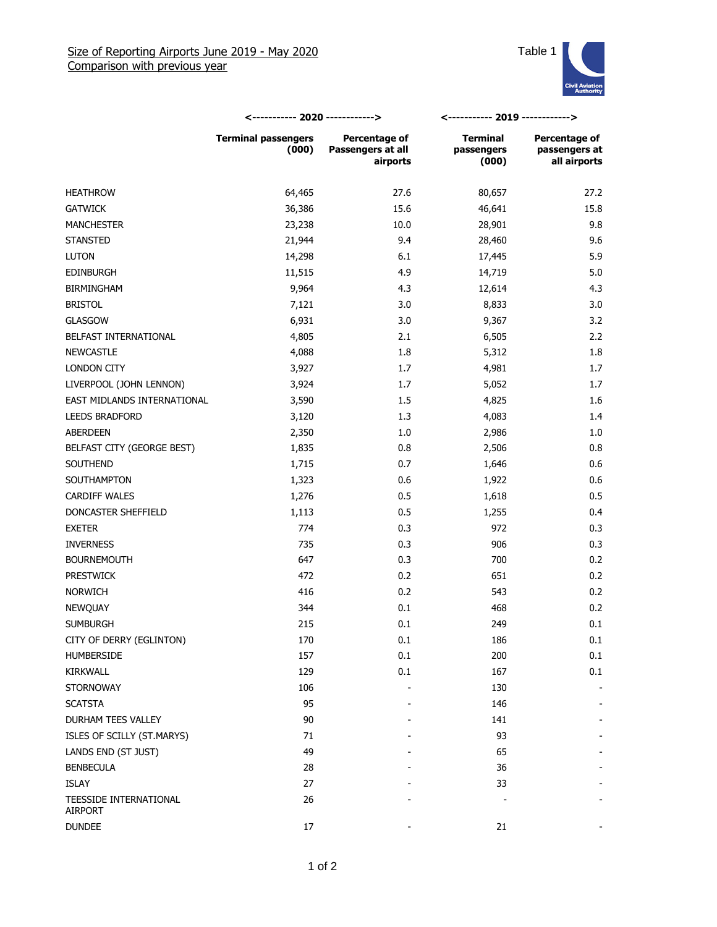

|                                          | <----------- 2020 ------------>     |                                                | <----------- 2019 ------------>        |                                                |
|------------------------------------------|-------------------------------------|------------------------------------------------|----------------------------------------|------------------------------------------------|
|                                          | <b>Terminal passengers</b><br>(000) | Percentage of<br>Passengers at all<br>airports | <b>Terminal</b><br>passengers<br>(000) | Percentage of<br>passengers at<br>all airports |
| <b>HEATHROW</b>                          | 64,465                              | 27.6                                           | 80,657                                 | 27.2                                           |
| <b>GATWICK</b>                           | 36,386                              | 15.6                                           | 46,641                                 | 15.8                                           |
| <b>MANCHESTER</b>                        | 23,238                              | 10.0                                           | 28,901                                 | 9.8                                            |
| <b>STANSTED</b>                          | 21,944                              | 9.4                                            | 28,460                                 | 9.6                                            |
| <b>LUTON</b>                             | 14,298                              | 6.1                                            | 17,445                                 | 5.9                                            |
| <b>EDINBURGH</b>                         | 11,515                              | 4.9                                            | 14,719                                 | 5.0                                            |
| <b>BIRMINGHAM</b>                        | 9,964                               | 4.3                                            | 12,614                                 | 4.3                                            |
| <b>BRISTOL</b>                           | 7,121                               | 3.0                                            | 8,833                                  | 3.0                                            |
| <b>GLASGOW</b>                           | 6,931                               | 3.0                                            | 9,367                                  | 3.2                                            |
| BELFAST INTERNATIONAL                    | 4,805                               | 2.1                                            | 6,505                                  | 2.2                                            |
| <b>NEWCASTLE</b>                         | 4,088                               | 1.8                                            | 5,312                                  | 1.8                                            |
| LONDON CITY                              | 3,927                               | 1.7                                            | 4,981                                  | 1.7                                            |
| LIVERPOOL (JOHN LENNON)                  | 3,924                               | 1.7                                            | 5,052                                  | 1.7                                            |
| EAST MIDLANDS INTERNATIONAL              | 3,590                               | 1.5                                            | 4,825                                  | 1.6                                            |
| <b>LEEDS BRADFORD</b>                    | 3,120                               | 1.3                                            | 4,083                                  | 1.4                                            |
| ABERDEEN                                 | 2,350                               | 1.0                                            | 2,986                                  | 1.0                                            |
| BELFAST CITY (GEORGE BEST)               | 1,835                               | 0.8                                            | 2,506                                  | 0.8                                            |
| SOUTHEND                                 | 1,715                               | 0.7                                            | 1,646                                  | 0.6                                            |
| SOUTHAMPTON                              | 1,323                               | 0.6                                            | 1,922                                  | 0.6                                            |
| <b>CARDIFF WALES</b>                     | 1,276                               | 0.5                                            | 1,618                                  | 0.5                                            |
| DONCASTER SHEFFIELD                      | 1,113                               | 0.5                                            | 1,255                                  | 0.4                                            |
| <b>EXETER</b>                            | 774                                 | 0.3                                            | 972                                    | 0.3                                            |
| <b>INVERNESS</b>                         | 735                                 | 0.3                                            | 906                                    | 0.3                                            |
| <b>BOURNEMOUTH</b>                       | 647                                 | 0.3                                            | 700                                    | 0.2                                            |
| <b>PRESTWICK</b>                         | 472                                 | 0.2                                            | 651                                    | 0.2                                            |
| <b>NORWICH</b>                           | 416                                 | 0.2                                            | 543                                    | 0.2                                            |
| <b>NEWQUAY</b>                           | 344                                 | 0.1                                            | 468                                    | 0.2                                            |
| <b>SUMBURGH</b>                          | 215                                 | 0.1                                            | 249                                    | 0.1                                            |
| CITY OF DERRY (EGLINTON)                 | 170                                 | 0.1                                            | 186                                    | 0.1                                            |
| <b>HUMBERSIDE</b>                        | 157                                 | 0.1                                            | 200                                    | 0.1                                            |
| KIRKWALL                                 | 129                                 | 0.1                                            | 167                                    | 0.1                                            |
| <b>STORNOWAY</b>                         | 106                                 |                                                | 130                                    |                                                |
| <b>SCATSTA</b>                           | 95                                  |                                                | 146                                    |                                                |
| DURHAM TEES VALLEY                       | 90                                  |                                                | 141                                    |                                                |
| ISLES OF SCILLY (ST.MARYS)               | 71                                  |                                                | 93                                     |                                                |
| LANDS END (ST JUST)                      | 49                                  |                                                | 65                                     |                                                |
| <b>BENBECULA</b>                         | 28                                  |                                                | 36                                     |                                                |
| <b>ISLAY</b>                             | 27                                  |                                                | 33                                     |                                                |
| TEESSIDE INTERNATIONAL<br><b>AIRPORT</b> | 26                                  |                                                |                                        |                                                |
| <b>DUNDEE</b>                            | $17\,$                              |                                                | 21                                     |                                                |